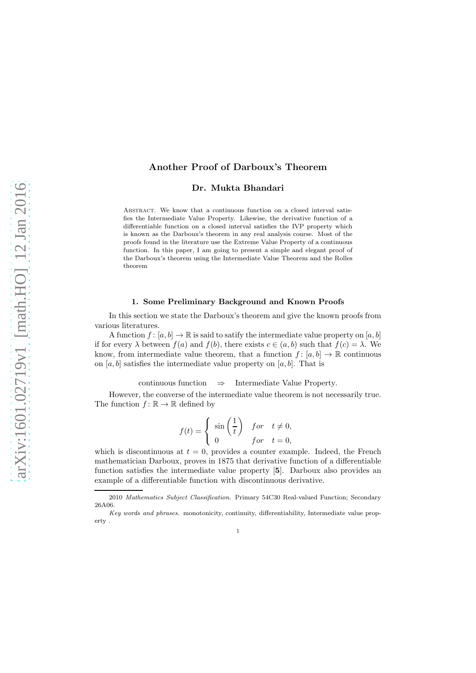# Another Proof of Darboux's Theorem

Dr. Mukta Bhandari

Abstract. We know that a continuous function on a closed interval satisfies the Intermediate Value Property. Likewise, the derivative function of a differentiable function on a closed interval satisfies the IVP property which is known as the Darboux's theorem in any real analysis course. Most of the proofs found in the literature use the Extreme Value Property of a continuous function. In this paper, I am going to present a simple and elegant proof of the Darboux's theorem using the Intermediate Value Theorem and the Rolles theorem

## 1. Some Preliminary Background and Known Proofs

In this section we state the Darboux's theorem and give the known proofs from various literatures.

A function  $f : [a, b] \to \mathbb{R}$  is said to satify the intermediate value property on  $[a, b]$ if for every  $\lambda$  between  $f(a)$  and  $f(b)$ , there exists  $c \in (a, b)$  such that  $f(c) = \lambda$ . We know, from intermediate value theorem, that a function  $f : [a, b] \to \mathbb{R}$  continuous on [a, b] satisfies the intermediate value property on [a, b]. That is

continuous function ⇒ Intermediate Value Property.

However, the converse of the intermediate value theorem is not necessarily true. The function  $f: \mathbb{R} \to \mathbb{R}$  defined by

$$
f(t) = \begin{cases} \sin\left(\frac{1}{t}\right) & \text{for } t \neq 0, \\ 0 & \text{for } t = 0, \end{cases}
$$

which is discontinuous at  $t = 0$ , provides a counter example. Indeed, the French mathematician Darboux, proves in 1875 that derivative function of a differentiable function satisfies the intermediate value property [5]. Darboux also provides an example of a differentiable function with discontinuous derivative.

<sup>2010</sup> *Mathematics Subject Classification.* Primary 54C30 Real-valued Function; Secondary 26A06.

*Key words and phrases.* monotonicity, continuity, differentiability, Intermediate value property .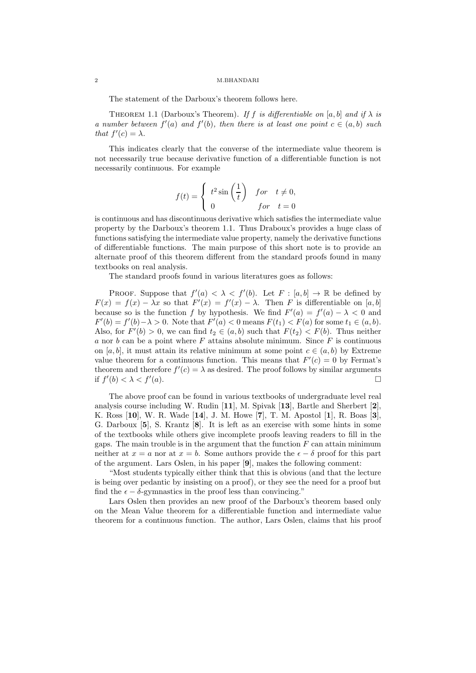#### 2 M.BHANDARI

The statement of the Darboux's theorem follows here.

THEOREM 1.1 (Darboux's Theorem). If f is differentiable on [a, b] and if  $\lambda$  is a number between  $f'(a)$  and  $f'(b)$ , then there is at least one point  $c \in (a, b)$  such that  $f'(c) = \lambda$ .

This indicates clearly that the converse of the intermediate value theorem is not necessarily true because derivative function of a differentiable function is not necessarily continuous. For example

$$
f(t) = \begin{cases} t^2 \sin\left(\frac{1}{t}\right) & \text{for } t \neq 0, \\ 0 & \text{for } t = 0 \end{cases}
$$

is continuous and has discontinuous derivative which satisfies the intermediate value property by the Darboux's theorem 1.1. Thus Draboux's provides a huge class of functions satisfying the intermediate value property, namely the derivative functions of differentiable functions. The main purpose of this short note is to provide an alternate proof of this theorem different from the standard proofs found in many textbooks on real analysis.

The standard proofs found in various literatures goes as follows:

PROOF. Suppose that  $f'(a) < \lambda < f'(b)$ . Let  $F : [a, b] \to \mathbb{R}$  be defined by  $F(x) = f(x) - \lambda x$  so that  $F'(x) = f'(x) - \lambda$ . Then F is differentiable on [a, b] because so is the function f by hypothesis. We find  $F'(a) = f'(a) - \lambda < 0$  and  $F'(b) = f'(b) - \lambda > 0$ . Note that  $F'(a) < 0$  means  $F(t_1) < F(a)$  for some  $t_1 \in (a, b)$ . Also, for  $F'(b) > 0$ , we can find  $t_2 \in (a, b)$  such that  $F(t_2) < F(b)$ . Thus neither a nor b can be a point where  $F$  attains absolute minimum. Since  $F$  is continuous on [a, b], it must attain its relative minimum at some point  $c \in (a, b)$  by Extreme value theorem for a continuous function. This means that  $F'(c) = 0$  by Fermat's theorem and therefore  $f'(c) = \lambda$  as desired. The proof follows by similar arguments if  $f'(b) < \lambda < f'$  $(a)$ .

The above proof can be found in various textbooks of undergraduate level real analysis course including W. Rudin [11], M. Spivak [13], Bartle and Sherbert [2], K. Ross [10], W. R. Wade [14], J. M. Howe [7], T. M. Apostol [1], R. Boas [3], G. Darboux [5], S. Krantz [8]. It is left as an exercise with some hints in some of the textbooks while others give incomplete proofs leaving readers to fill in the gaps. The main trouble is in the argument that the function  $F$  can attain minimum neither at  $x = a$  nor at  $x = b$ . Some authors provide the  $\epsilon - \delta$  proof for this part of the argument. Lars Oslen, in his paper [9], makes the following comment:

"Most students typically either think that this is obvious (and that the lecture is being over pedantic by insisting on a proof), or they see the need for a proof but find the  $\epsilon - \delta$ -gymnastics in the proof less than convincing."

Lars Oslen then provides an new proof of the Darboux's theorem based only on the Mean Value theorem for a differentiable function and intermediate value theorem for a continuous function. The author, Lars Oslen, claims that his proof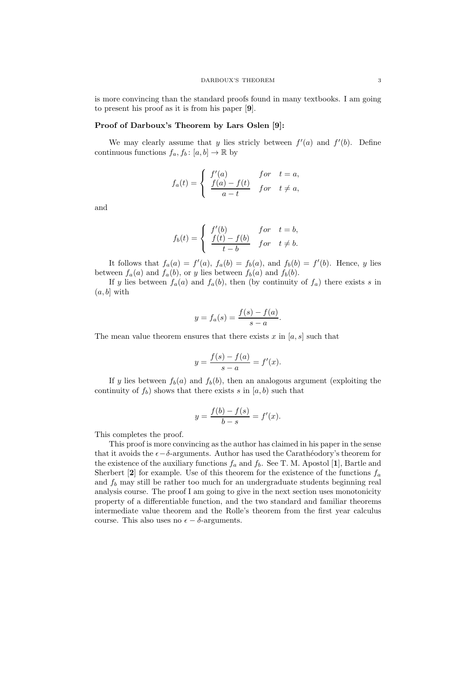is more convincing than the standard proofs found in many textbooks. I am going to present his proof as it is from his paper [9].

# Proof of Darboux's Theorem by Lars Oslen [9]:

We may clearly assume that y lies stricly between  $f'(a)$  and  $f'(b)$ . Define continuous functions  $f_a, f_b : [a, b] \to \mathbb{R}$  by

$$
f_a(t) = \begin{cases} f'(a) & \text{for } t = a, \\ \frac{f(a) - f(t)}{a - t} & \text{for } t \neq a, \end{cases}
$$

and

$$
f_b(t) = \begin{cases} f'(b) & for \quad t = b, \\ \frac{f(t) - f(b)}{t - b} & for \quad t \neq b. \end{cases}
$$

It follows that  $f_a(a) = f'(a)$ ,  $f_a(b) = f_b(a)$ , and  $f_b(b) = f'(b)$ . Hence, y lies between  $f_a(a)$  and  $f_a(b)$ , or y lies between  $f_b(a)$  and  $f_b(b)$ .

If y lies between  $f_a(a)$  and  $f_a(b)$ , then (by continuity of  $f_a$ ) there exists s in  $(a, b]$  with

$$
y = f_a(s) = \frac{f(s) - f(a)}{s - a}.
$$

The mean value theorem ensures that there exists x in  $[a, s]$  such that

$$
y = \frac{f(s) - f(a)}{s - a} = f'(x).
$$

If y lies between  $f_b(a)$  and  $f_b(b)$ , then an analogous argument (exploiting the continuity of  $f_b$ ) shows that there exists s in  $[a, b)$  such that

$$
y = \frac{f(b) - f(s)}{b - s} = f'(x).
$$

This completes the proof.

This proof is more convincing as the author has claimed in his paper in the sense that it avoids the  $\epsilon - \delta$ -arguments. Author has used the Carathéodory's theorem for the existence of the auxiliary functions  $f_a$  and  $f_b$ . See T. M. Apostol [1], Bartle and Sherbert [2] for example. Use of this theorem for the existence of the functions  $f_a$ and  $f_b$  may still be rather too much for an undergraduate students beginning real analysis course. The proof I am going to give in the next section uses monotonicity property of a differentiable function, and the two standard and familiar theorems intermediate value theorem and the Rolle's theorem from the first year calculus course. This also uses no  $\epsilon - \delta$ -arguments.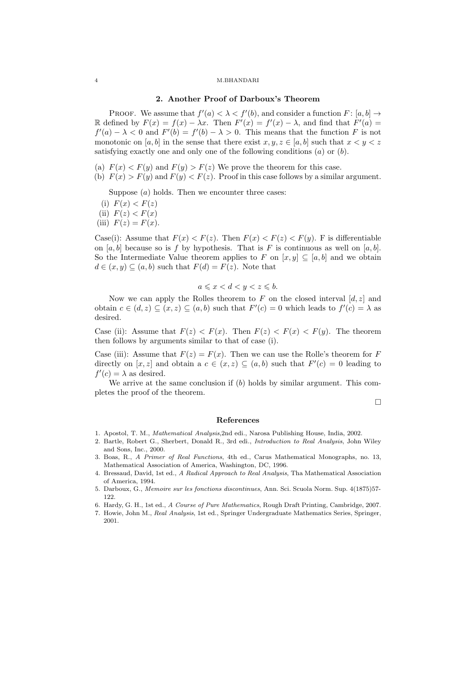## 4 M.BHANDARI

# 2. Another Proof of Darboux's Theorem

PROOF. We assume that  $f'(a) < \lambda < f'(b)$ , and consider a function  $F: [a, b] \to$ R defined by  $F(x) = f(x) - \lambda x$ . Then  $F'(x) = f'(x) - \lambda$ , and find that  $F'(a) =$  $f'(a) - \lambda < 0$  and  $F'(b) = f'(b) - \lambda > 0$ . This means that the function F is not monotonic on [a, b] in the sense that there exist  $x, y, z \in [a, b]$  such that  $x < y < z$ satisfying exactly one and only one of the following conditions  $(a)$  or  $(b)$ .

- (a)  $F(x) < F(y)$  and  $F(y) > F(z)$  We prove the theorem for this case.
- (b)  $F(x) > F(y)$  and  $F(y) < F(z)$ . Proof in this case follows by a similar argument.

Suppose  $(a)$  holds. Then we encounter three cases:

- (i)  $F(x) < F(z)$
- (ii)  $F(z) < F(x)$
- (iii)  $F(z) = F(x)$ .

Case(i): Assume that  $F(x) < F(z)$ . Then  $F(x) < F(z) < F(y)$ . F is differentiable on [a, b] because so is f by hypothesis. That is F is continuous as well on [a, b]. So the Intermediate Value theorem applies to F on  $[x, y] \subseteq [a, b]$  and we obtain  $d \in (x, y) \subseteq (a, b)$  such that  $F(d) = F(z)$ . Note that

$$
a \leqslant x < d < y < z \leqslant b.
$$

Now we can apply the Rolles theorem to  $F$  on the closed interval  $[d, z]$  and obtain  $c \in (d, z) \subseteq (x, z) \subseteq (a, b)$  such that  $F'(c) = 0$  which leads to  $f'(c) = \lambda$  as desired.

Case (ii): Assume that  $F(z) < F(x)$ . Then  $F(z) < F(x) < F(y)$ . The theorem then follows by arguments similar to that of case (i).

Case (iii): Assume that  $F(z) = F(x)$ . Then we can use the Rolle's theorem for F directly on  $[x, z]$  and obtain a  $c \in (x, z) \subseteq (a, b)$  such that  $F'(c) = 0$  leading to  $f'(c) = \lambda$  as desired.

We arrive at the same conclusion if  $(b)$  holds by similar argument. This completes the proof of the theorem.

 $\Box$ 

#### References

- 1. Apostol, T. M., *Mathematical Analysis*,2nd edi., Narosa Publishing House, India, 2002.
- 2. Bartle, Robert G., Sherbert, Donald R., 3rd edi., *Introduction to Real Analysis*, John Wiley and Sons, Inc., 2000.
- 3. Boas, R., *A Primer of Real Functions*, 4th ed., Carus Mathematical Monographs, no. 13, Mathematical Association of America, Washington, DC, 1996.
- 4. Bressaud, David, 1st ed., *A Radical Approach to Real Analysis*, Tha Mathematical Association of America, 1994.
- 5. Darboux, G., *Memoire sur les fonctions discontinues*, Ann. Sci. Scuola Norm. Sup. 4(1875)57- 122.
- 6. Hardy, G. H., 1st ed., *A Course of Pure Mathematics*, Rough Draft Printing, Cambridge, 2007.
- 7. Howie, John M., *Real Analysis*, 1st ed., Springer Undergraduate Mathematics Series, Springer, 2001.